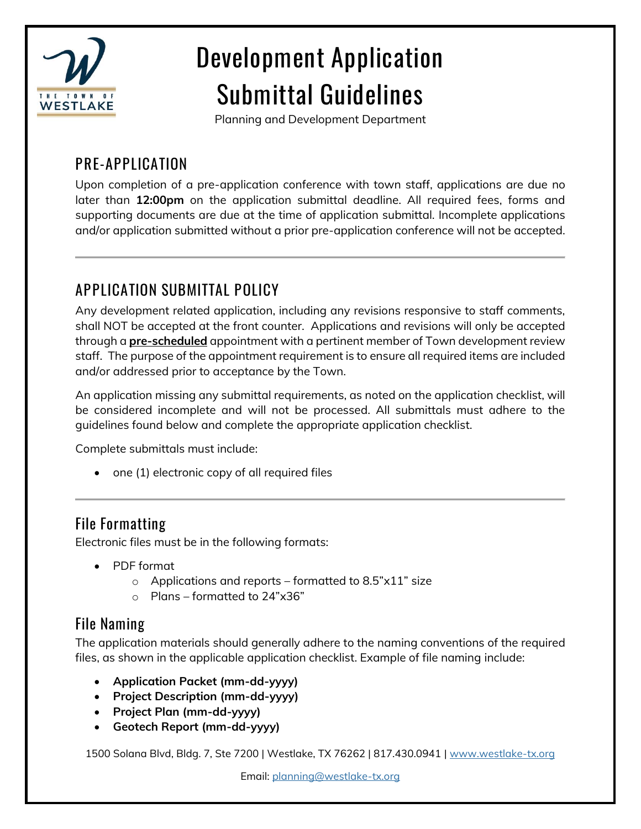

# **Development Application Submittal Guidelines**

Planning and Development Department

# **PRE-APPLICATION**

Upon completion of a pre-application conference with town staff, applications are due no later than **12:00pm** on the application submittal deadline. All required fees, forms and supporting documents are due at the time of application submittal. Incomplete applications and/or application submitted without a prior pre-application conference will not be accepted.

# **APPLICATION SUBMITTAL POLICY**

Any development related application, including any revisions responsive to staff comments, shall NOT be accepted at the front counter. Applications and revisions will only be accepted through a **pre-scheduled** appointment with a pertinent member of Town development review staff. The purpose of the appointment requirement is to ensure all required items are included and/or addressed prior to acceptance by the Town.

An application missing any submittal requirements, as noted on the application checklist, will be considered incomplete and will not be processed. All submittals must adhere to the guidelines found below and complete the appropriate application checklist.

Complete submittals must include:

• one (1) electronic copy of all required files

### **File Formatting**

Electronic files must be in the following formats:

- PDF format
	- $\circ$  Applications and reports formatted to 8.5"x11" size
	- o Plans formatted to 24"x36"

### **File Naming**

The application materials should generally adhere to the naming conventions of the required files, as shown in the applicable application checklist. Example of file naming include:

- **Application Packet (mm-dd-yyyy)**
- **Project Description (mm-dd-yyyy)**
- **Project Plan (mm-dd-yyyy)**
- **Geotech Report (mm-dd-yyyy)**

1500 Solana Blvd, Bldg. 7, Ste 7200 | Westlake, TX 76262 | 817.430.0941 [| www.westlake-tx.org](http://www.westlake-tx.org/)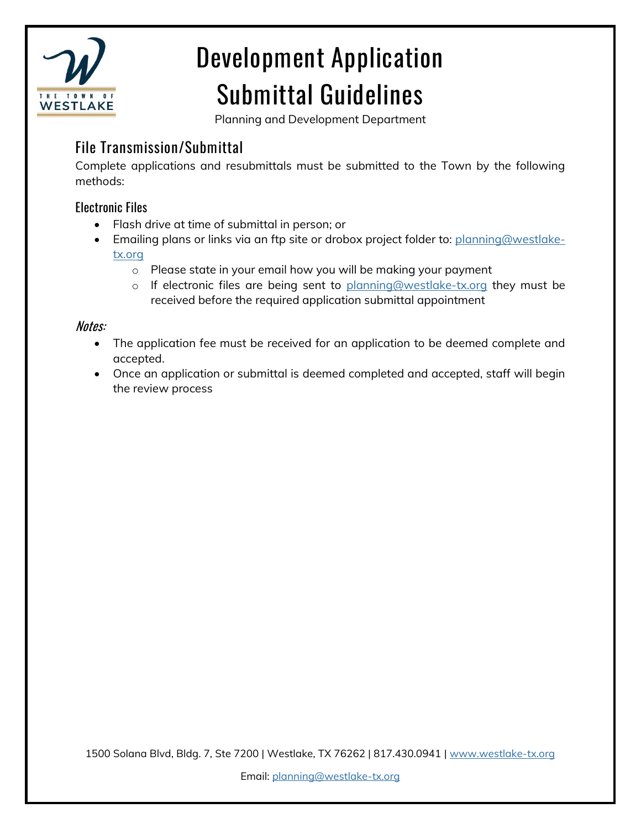

# **Development Application Submittal Guidelines**

Planning and Development Department

### **File Transmission/Submittal**

Complete applications and resubmittals must be submitted to the Town by the following methods:

#### Electronic Files

- Flash drive at time of submittal in person; or
- Emailing plans or links via an ftp site or drobox project folder to: [planning@westlake](mailto:planning@westlake-tx.org)[tx.org](mailto:planning@westlake-tx.org)
	- o Please state in your email how you will be making your payment
	- o If electronic files are being sent to [planning@westlake-tx.org](mailto:planning@westlake-tx.org) they must be received before the required application submittal appointment

#### Notes:

- The application fee must be received for an application to be deemed complete and accepted.
- Once an application or submittal is deemed completed and accepted, staff will begin the review process

1500 Solana Blvd, Bldg. 7, Ste 7200 | Westlake, TX 76262 | 817.430.0941 [| www.westlake-tx.org](http://www.westlake-tx.org/)

Email: [planning@westlake-tx.org](mailto:planning@westlake-tx.org)